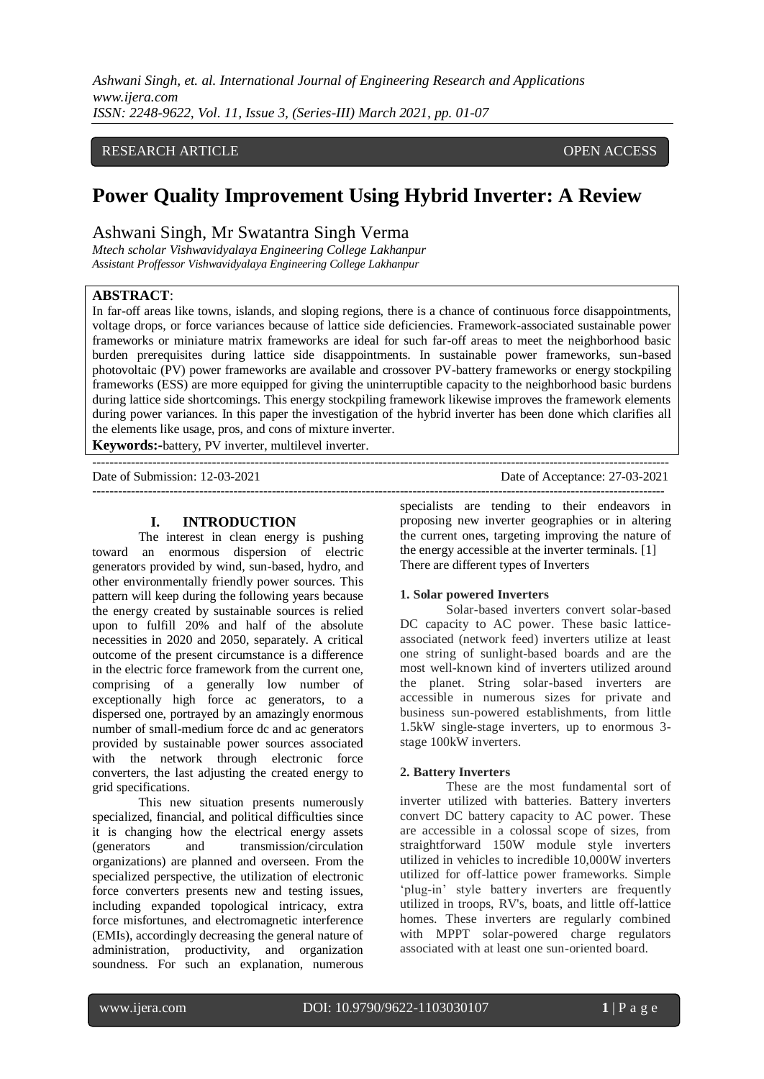*Ashwani Singh, et. al. International Journal of Engineering Research and Applications www.ijera.com ISSN: 2248-9622, Vol. 11, Issue 3, (Series-III) March 2021, pp. 01-07*

## RESEARCH ARTICLE **CONTRACT ARTICLE** AND **SECURE ACCESS**

## **Power Quality Improvement Using Hybrid Inverter: A Review**

## Ashwani Singh, Mr Swatantra Singh Verma

*Mtech scholar Vishwavidyalaya Engineering College Lakhanpur Assistant Proffessor Vishwavidyalaya Engineering College Lakhanpur*

#### **ABSTRACT**:

In far-off areas like towns, islands, and sloping regions, there is a chance of continuous force disappointments, voltage drops, or force variances because of lattice side deficiencies. Framework-associated sustainable power frameworks or miniature matrix frameworks are ideal for such far-off areas to meet the neighborhood basic burden prerequisites during lattice side disappointments. In sustainable power frameworks, sun-based photovoltaic (PV) power frameworks are available and crossover PV-battery frameworks or energy stockpiling frameworks (ESS) are more equipped for giving the uninterruptible capacity to the neighborhood basic burdens during lattice side shortcomings. This energy stockpiling framework likewise improves the framework elements during power variances. In this paper the investigation of the hybrid inverter has been done which clarifies all the elements like usage, pros, and cons of mixture inverter.

---------------------------------------------------------------------------------------------------------------------------------------

**Keywords:-**battery, PV inverter, multilevel inverter.

Date of Submission: 12-03-2021 Date of Acceptance: 27-03-2021

--------------------------------------------------------------------------------------------------------------------------------------

#### **I. INTRODUCTION**

The interest in clean energy is pushing toward an enormous dispersion of electric generators provided by wind, sun-based, hydro, and other environmentally friendly power sources. This pattern will keep during the following years because the energy created by sustainable sources is relied upon to fulfill 20% and half of the absolute necessities in 2020 and 2050, separately. A critical outcome of the present circumstance is a difference in the electric force framework from the current one, comprising of a generally low number of exceptionally high force ac generators, to a dispersed one, portrayed by an amazingly enormous number of small-medium force dc and ac generators provided by sustainable power sources associated with the network through electronic force converters, the last adjusting the created energy to grid specifications.

This new situation presents numerously specialized, financial, and political difficulties since it is changing how the electrical energy assets (generators and transmission/circulation organizations) are planned and overseen. From the specialized perspective, the utilization of electronic force converters presents new and testing issues, including expanded topological intricacy, extra force misfortunes, and electromagnetic interference (EMIs), accordingly decreasing the general nature of administration, productivity, and organization soundness. For such an explanation, numerous specialists are tending to their endeavors in proposing new inverter geographies or in altering the current ones, targeting improving the nature of the energy accessible at the inverter terminals. [1] There are different types of Inverters

#### **1. Solar powered Inverters**

Solar-based inverters convert solar-based DC capacity to AC power. These basic latticeassociated (network feed) inverters utilize at least one string of sunlight-based boards and are the most well-known kind of inverters utilized around the planet. String solar-based inverters are accessible in numerous sizes for private and business sun-powered establishments, from little 1.5kW single-stage inverters, up to enormous 3 stage 100kW inverters.

#### **2. Battery Inverters**

These are the most fundamental sort of inverter utilized with batteries. Battery inverters convert DC battery capacity to AC power. These are accessible in a colossal scope of sizes, from straightforward 150W module style inverters utilized in vehicles to incredible 10,000W inverters utilized for off-lattice power frameworks. Simple 'plug-in' style battery inverters are frequently utilized in troops, RV's, boats, and little off-lattice homes. These inverters are regularly combined with MPPT solar-powered charge regulators associated with at least one sun-oriented board.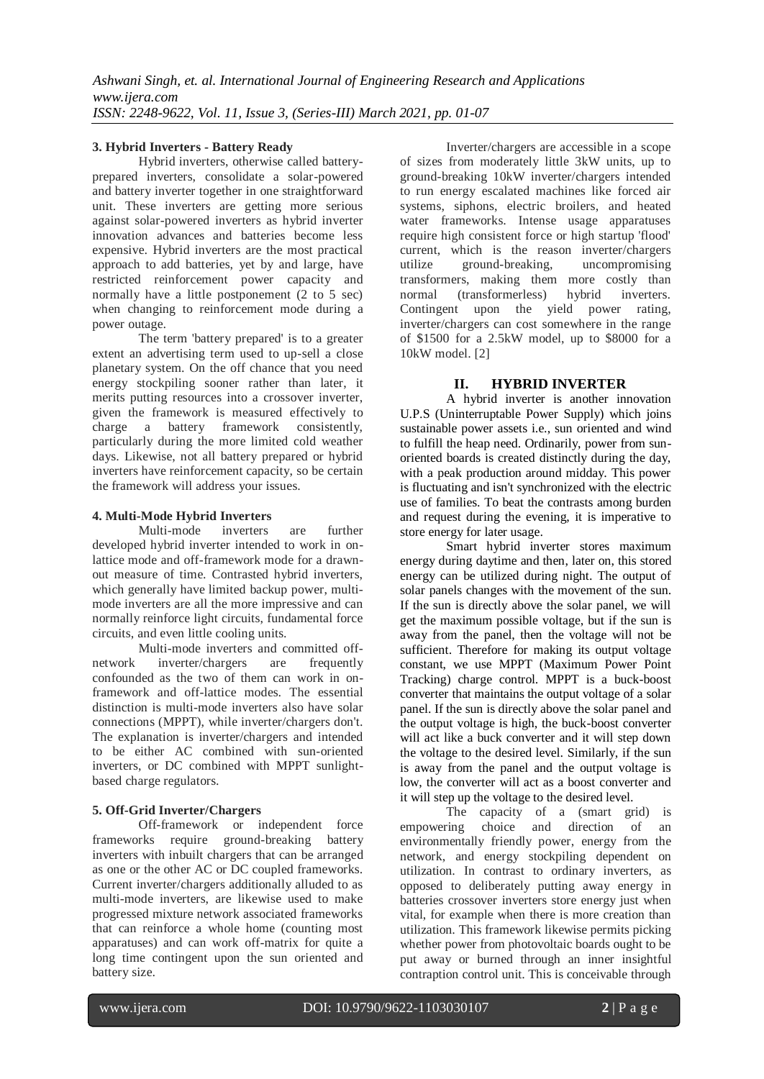## **3. Hybrid Inverters - Battery Ready**

Hybrid inverters, otherwise called batteryprepared inverters, consolidate a solar-powered and battery inverter together in one straightforward unit. These inverters are getting more serious against solar-powered inverters as hybrid inverter innovation advances and batteries become less expensive. Hybrid inverters are the most practical approach to add batteries, yet by and large, have restricted reinforcement power capacity and normally have a little postponement (2 to 5 sec) when changing to reinforcement mode during a power outage.

The term 'battery prepared' is to a greater extent an advertising term used to up-sell a close planetary system. On the off chance that you need energy stockpiling sooner rather than later, it merits putting resources into a crossover inverter, given the framework is measured effectively to charge a battery framework consistently, particularly during the more limited cold weather days. Likewise, not all battery prepared or hybrid inverters have reinforcement capacity, so be certain the framework will address your issues.

# **4. Multi-Mode Hybrid Inverters**

Multi-mode inverters are further developed hybrid inverter intended to work in onlattice mode and off-framework mode for a drawnout measure of time. Contrasted hybrid inverters, which generally have limited backup power, multimode inverters are all the more impressive and can normally reinforce light circuits, fundamental force circuits, and even little cooling units.

Multi-mode inverters and committed offnetwork inverter/chargers are frequently confounded as the two of them can work in onframework and off-lattice modes. The essential distinction is multi-mode inverters also have solar connections (MPPT), while inverter/chargers don't. The explanation is inverter/chargers and intended to be either AC combined with sun-oriented inverters, or DC combined with MPPT sunlightbased charge regulators.

## **5. Off-Grid Inverter/Chargers**

Off-framework or independent force frameworks require ground-breaking battery inverters with inbuilt chargers that can be arranged as one or the other AC or DC coupled frameworks. Current inverter/chargers additionally alluded to as multi-mode inverters, are likewise used to make progressed mixture network associated frameworks that can reinforce a whole home (counting most apparatuses) and can work off-matrix for quite a long time contingent upon the sun oriented and battery size.

Inverter/chargers are accessible in a scope of sizes from moderately little 3kW units, up to ground-breaking 10kW inverter/chargers intended to run energy escalated machines like forced air systems, siphons, electric broilers, and heated water frameworks. Intense usage apparatuses require high consistent force or high startup 'flood' current, which is the reason inverter/chargers utilize ground-breaking, uncompromising transformers, making them more costly than normal (transformerless) hybrid inverters. Contingent upon the yield power rating, inverter/chargers can cost somewhere in the range of \$1500 for a 2.5kW model, up to \$8000 for a 10kW model. [2[\]](https://www.cleanenergyreviews.info/hybrid-all-in-one-solar-inverter-review-mpp)

## **II. HYBRID INVERTER**

A hybrid inverter is another innovation U.P.S (Uninterruptable Power Supply) which joins sustainable power assets i.e., sun oriented and wind to fulfill the heap need. Ordinarily, power from sunoriented boards is created distinctly during the day, with a peak production around midday. This power is fluctuating and isn't synchronized with the electric use of families. To beat the contrasts among burden and request during the evening, it is imperative to store energy for later usage.

Smart hybrid inverter stores maximum energy during daytime and then, later on, this stored energy can be utilized during night. The output of solar panels changes with the movement of the sun. If the sun is directly above the solar panel, we will get the maximum possible voltage, but if the sun is away from the panel, then the voltage will not be sufficient. Therefore for making its output voltage constant, we use MPPT (Maximum Power Point Tracking) charge control. MPPT is a buck-boost converter that maintains the output voltage of a solar panel. If the sun is directly above the solar panel and the output voltage is high, the buck-boost converter will act like a buck converter and it will step down the voltage to the desired level. Similarly, if the sun is away from the panel and the output voltage is low, the converter will act as a boost converter and it will step up the voltage to the desired level.

The capacity of a (smart grid) is empowering choice and direction of an environmentally friendly power, energy from the network, and energy stockpiling dependent on utilization. In contrast to ordinary inverters, as opposed to deliberately putting away energy in batteries crossover inverters store energy just when vital, for example when there is more creation than utilization. This framework likewise permits picking whether power from photovoltaic boards ought to be put away or burned through an inner insightful contraption control unit. This is conceivable through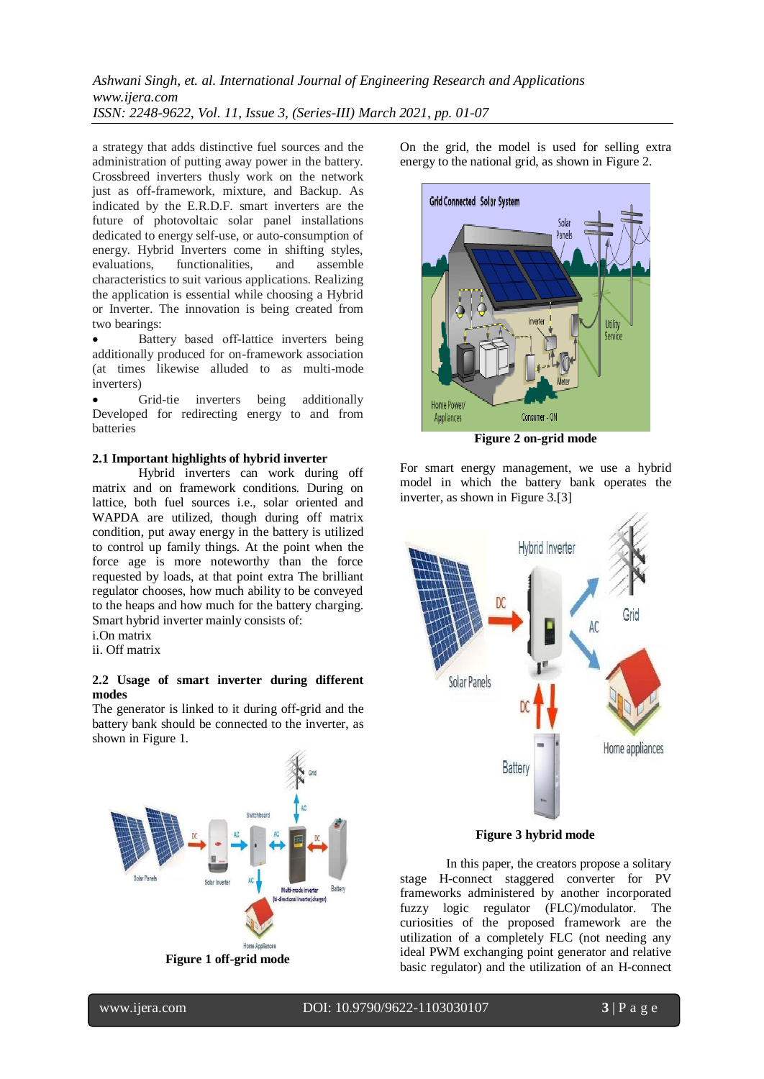## *Ashwani Singh, et. al. International Journal of Engineering Research and Applications www.ijera.com ISSN: 2248-9622, Vol. 11, Issue 3, (Series-III) March 2021, pp. 01-07*

a strategy that adds distinctive fuel sources and the administration of putting away power in the battery. Crossbreed inverters thusly work on the network just as off-framework, mixture, and Backup. As indicated by the E.R.D.F. smart inverters are the future of photovoltaic solar panel installations dedicated to energy self-use, or auto-consumption of energy. Hybrid Inverters come in shifting styles, evaluations, functionalities, and assemble characteristics to suit various applications. Realizing the application is essential while choosing a Hybrid or Inverter. The innovation is being created from two bearings:

 Battery based οff-lattice inverters being additionally produced for on-framework association (at times likewise alluded to as multi-mode inverters)

 Grid-tie inverters being additionally Developed for redirecting energy to and from batteries

#### **2.1 Important highlights of hybrid inverter**

Hybrid inverters can work during off matrix and on framework conditions. During on lattice, both fuel sources i.e., solar oriented and WAPDA are utilized, though during off matrix condition, put away energy in the battery is utilized to control up family things. At the point when the force age is more noteworthy than the force requested by loads, at that point extra The brilliant regulator chooses, how much ability to be conveyed to the heaps and how much for the battery charging. Smart hybrid inverter mainly consists of:

i.On matrix

ii. Off matrix

#### **2.2 Usage of smart inverter during different modes**

The generator is linked to it during off-grid and the battery bank should be connected to the inverter, as shown in Figure 1.



**Figure 1 off-grid mode**

On the grid, the model is used for selling extra energy to the national grid, as shown in Figure 2.



**Figure 2 on-grid mode**

For smart energy management, we use a hybrid model in which the battery bank operates the inverter, as shown in Figure 3.[3]



**Figure 3 hybrid mode**

In this paper, the creators propose a solitary stage H-connect staggered converter for PV frameworks administered by another incorporated fuzzy logic regulator (FLC)/modulator. The curiosities of the proposed framework are the utilization of a completely FLC (not needing any ideal PWM exchanging point generator and relative basic regulator) and the utilization of an H-connect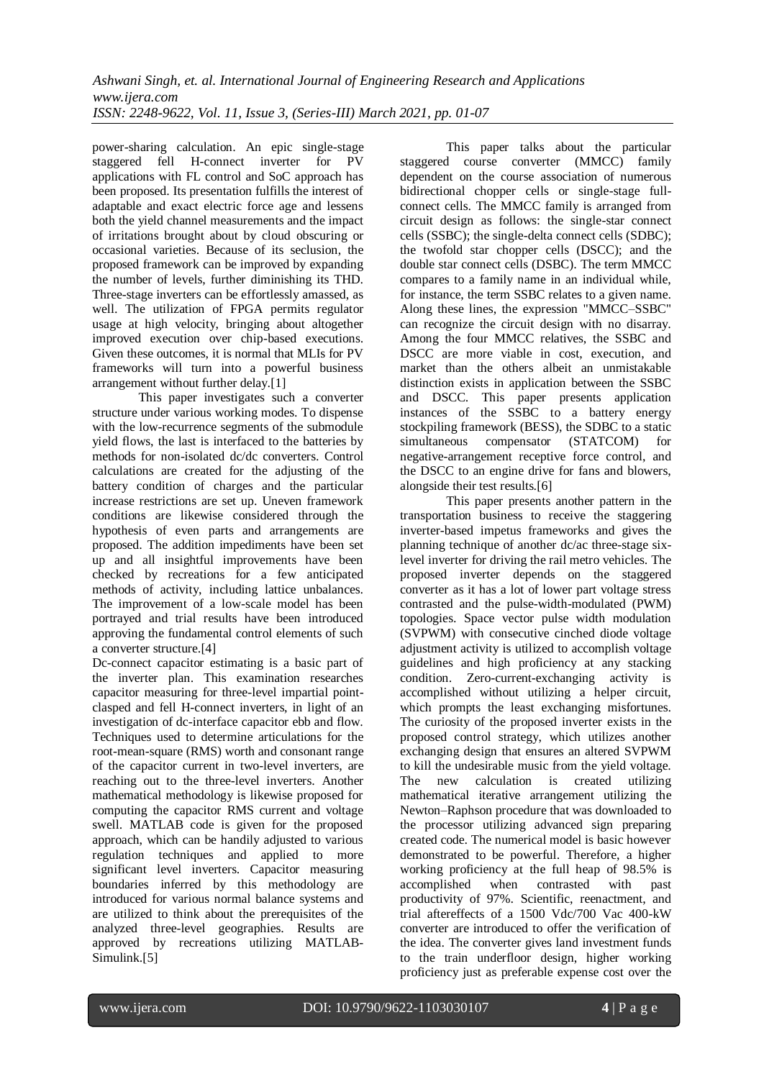power-sharing calculation. An epic single-stage staggered fell H-connect inverter for PV applications with FL control and SoC approach has been proposed. Its presentation fulfills the interest of adaptable and exact electric force age and lessens both the yield channel measurements and the impact of irritations brought about by cloud obscuring or occasional varieties. Because of its seclusion, the proposed framework can be improved by expanding the number of levels, further diminishing its THD. Three-stage inverters can be effortlessly amassed, as well. The utilization of FPGA permits regulator usage at high velocity, bringing about altogether improved execution over chip-based executions. Given these outcomes, it is normal that MLIs for PV frameworks will turn into a powerful business arrangement without further delay.[1]

This paper investigates such a converter structure under various working modes. To dispense with the low-recurrence segments of the submodule yield flows, the last is interfaced to the batteries by methods for non-isolated dc/dc converters. Control calculations are created for the adjusting of the battery condition of charges and the particular increase restrictions are set up. Uneven framework conditions are likewise considered through the hypothesis of even parts and arrangements are proposed. The addition impediments have been set up and all insightful improvements have been checked by recreations for a few anticipated methods of activity, including lattice unbalances. The improvement of a low-scale model has been portrayed and trial results have been introduced approving the fundamental control elements of such a converter structure.[4]

Dc-connect capacitor estimating is a basic part of the inverter plan. This examination researches capacitor measuring for three-level impartial pointclasped and fell H-connect inverters, in light of an investigation of dc-interface capacitor ebb and flow. Techniques used to determine articulations for the root-mean-square (RMS) worth and consonant range of the capacitor current in two-level inverters, are reaching out to the three-level inverters. Another mathematical methodology is likewise proposed for computing the capacitor RMS current and voltage swell. MATLAB code is given for the proposed approach, which can be handily adjusted to various regulation techniques and applied to more significant level inverters. Capacitor measuring boundaries inferred by this methodology are introduced for various normal balance systems and are utilized to think about the prerequisites of the analyzed three-level geographies. Results are approved by recreations utilizing MATLAB-Simulink.[5]

This paper talks about the particular staggered course converter (MMCC) family dependent on the course association of numerous bidirectional chopper cells or single-stage fullconnect cells. The MMCC family is arranged from circuit design as follows: the single-star connect cells (SSBC); the single-delta connect cells (SDBC); the twofold star chopper cells (DSCC); and the double star connect cells (DSBC). The term MMCC compares to a family name in an individual while, for instance, the term SSBC relates to a given name. Along these lines, the expression "MMCC–SSBC" can recognize the circuit design with no disarray. Among the four MMCC relatives, the SSBC and DSCC are more viable in cost, execution, and market than the others albeit an unmistakable distinction exists in application between the SSBC and DSCC. This paper presents application instances of the SSBC to a battery energy stockpiling framework (BESS), the SDBC to a static simultaneous compensator (STATCOM) for negative-arrangement receptive force control, and the DSCC to an engine drive for fans and blowers, alongside their test results.[6]

This paper presents another pattern in the transportation business to receive the staggering inverter-based impetus frameworks and gives the planning technique of another dc/ac three-stage sixlevel inverter for driving the rail metro vehicles. The proposed inverter depends on the staggered converter as it has a lot of lower part voltage stress contrasted and the pulse-width-modulated (PWM) topologies. Space vector pulse width modulation (SVPWM) with consecutive cinched diode voltage adjustment activity is utilized to accomplish voltage guidelines and high proficiency at any stacking condition. Zero-current-exchanging activity is accomplished without utilizing a helper circuit, which prompts the least exchanging misfortunes. The curiosity of the proposed inverter exists in the proposed control strategy, which utilizes another exchanging design that ensures an altered SVPWM to kill the undesirable music from the yield voltage. The new calculation is created utilizing mathematical iterative arrangement utilizing the Newton–Raphson procedure that was downloaded to the processor utilizing advanced sign preparing created code. The numerical model is basic however demonstrated to be powerful. Therefore, a higher working proficiency at the full heap of 98.5% is accomplished when contrasted with past productivity of 97%. Scientific, reenactment, and trial aftereffects of a 1500 Vdc/700 Vac 400-kW converter are introduced to offer the verification of the idea. The converter gives land investment funds to the train underfloor design, higher working proficiency just as preferable expense cost over the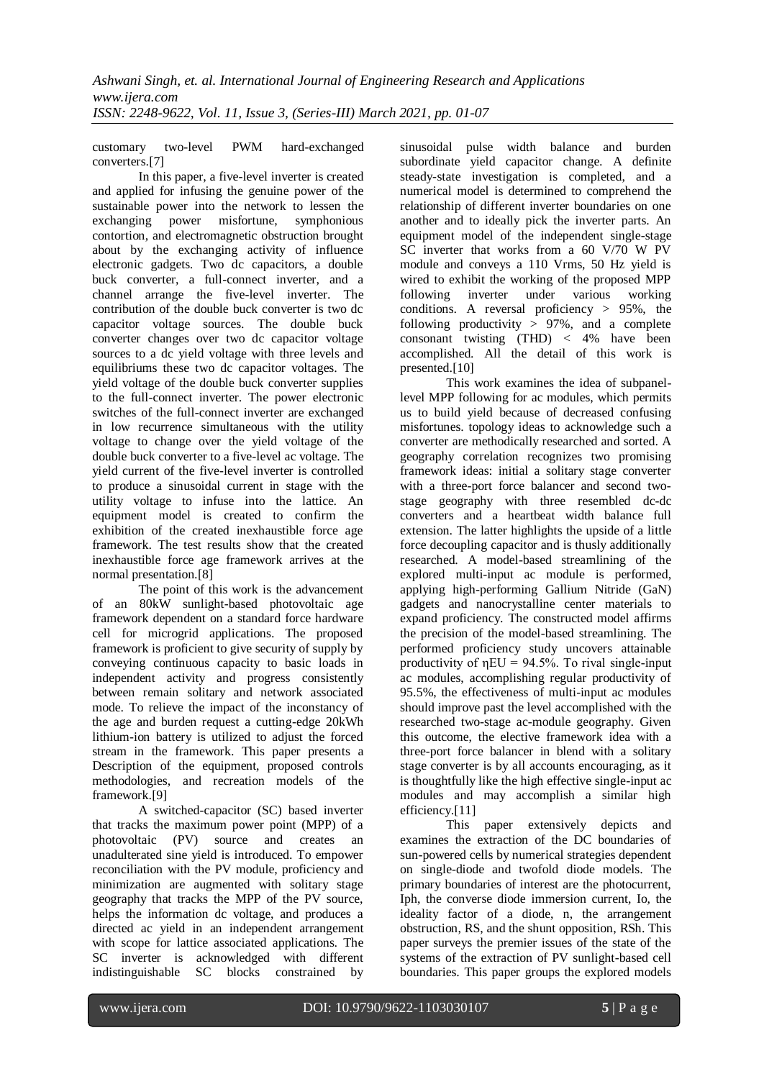customary two-level PWM hard-exchanged converters.[7]

In this paper, a five-level inverter is created and applied for infusing the genuine power of the sustainable power into the network to lessen the exchanging power misfortune, symphonious contortion, and electromagnetic obstruction brought about by the exchanging activity of influence electronic gadgets. Two dc capacitors, a double buck converter, a full-connect inverter, and a channel arrange the five-level inverter. The contribution of the double buck converter is two dc capacitor voltage sources. The double buck converter changes over two dc capacitor voltage sources to a dc yield voltage with three levels and equilibriums these two dc capacitor voltages. The yield voltage of the double buck converter supplies to the full-connect inverter. The power electronic switches of the full-connect inverter are exchanged in low recurrence simultaneous with the utility voltage to change over the yield voltage of the double buck converter to a five-level ac voltage. The yield current of the five-level inverter is controlled to produce a sinusoidal current in stage with the utility voltage to infuse into the lattice. An equipment model is created to confirm the exhibition of the created inexhaustible force age framework. The test results show that the created inexhaustible force age framework arrives at the normal presentation.[8]

The point of this work is the advancement of an 80kW sunlight-based photovoltaic age framework dependent on a standard force hardware cell for microgrid applications. The proposed framework is proficient to give security of supply by conveying continuous capacity to basic loads in independent activity and progress consistently between remain solitary and network associated mode. To relieve the impact of the inconstancy of the age and burden request a cutting-edge 20kWh lithium-ion battery is utilized to adjust the forced stream in the framework. This paper presents a Description of the equipment, proposed controls methodologies, and recreation models of the framework.[9]

A switched-capacitor (SC) based inverter that tracks the maximum power point (MPP) of a photovoltaic (PV) source and creates an unadulterated sine yield is introduced. To empower reconciliation with the PV module, proficiency and minimization are augmented with solitary stage geography that tracks the MPP of the PV source, helps the information dc voltage, and produces a directed ac yield in an independent arrangement with scope for lattice associated applications. The SC inverter is acknowledged with different indistinguishable SC blocks constrained by

sinusoidal pulse width balance and burden subordinate yield capacitor change. A definite steady-state investigation is completed, and a numerical model is determined to comprehend the relationship of different inverter boundaries on one another and to ideally pick the inverter parts. An equipment model of the independent single-stage SC inverter that works from a 60 V/70 W PV module and conveys a 110 Vrms, 50 Hz yield is wired to exhibit the working of the proposed MPP following inverter under various working conditions. A reversal proficiency  $> 95\%$ , the following productivity  $> 97\%$ , and a complete consonant twisting (THD) < 4% have been accomplished. All the detail of this work is presented.[10]

This work examines the idea of subpanellevel MPP following for ac modules, which permits us to build yield because of decreased confusing misfortunes. topology ideas to acknowledge such a converter are methodically researched and sorted. A geography correlation recognizes two promising framework ideas: initial a solitary stage converter with a three-port force balancer and second twostage geography with three resembled dc-dc converters and a heartbeat width balance full extension. The latter highlights the upside of a little force decoupling capacitor and is thusly additionally researched. A model-based streamlining of the explored multi-input ac module is performed, applying high-performing Gallium Nitride (GaN) gadgets and nanocrystalline center materials to expand proficiency. The constructed model affirms the precision of the model-based streamlining. The performed proficiency study uncovers attainable productivity of  $\eta EU = 94.5\%$ . To rival single-input ac modules, accomplishing regular productivity of 95.5%, the effectiveness of multi-input ac modules should improve past the level accomplished with the researched two-stage ac-module geography. Given this outcome, the elective framework idea with a three-port force balancer in blend with a solitary stage converter is by all accounts encouraging, as it is thoughtfully like the high effective single-input ac modules and may accomplish a similar high efficiency.<sup>[11]</sup>

This paper extensively depicts and examines the extraction of the DC boundaries of sun-powered cells by numerical strategies dependent on single-diode and twofold diode models. The primary boundaries of interest are the photocurrent, Iph, the converse diode immersion current, Io, the ideality factor of a diode, n, the arrangement obstruction, RS, and the shunt opposition, RSh. This paper surveys the premier issues of the state of the systems of the extraction of PV sunlight-based cell boundaries. This paper groups the explored models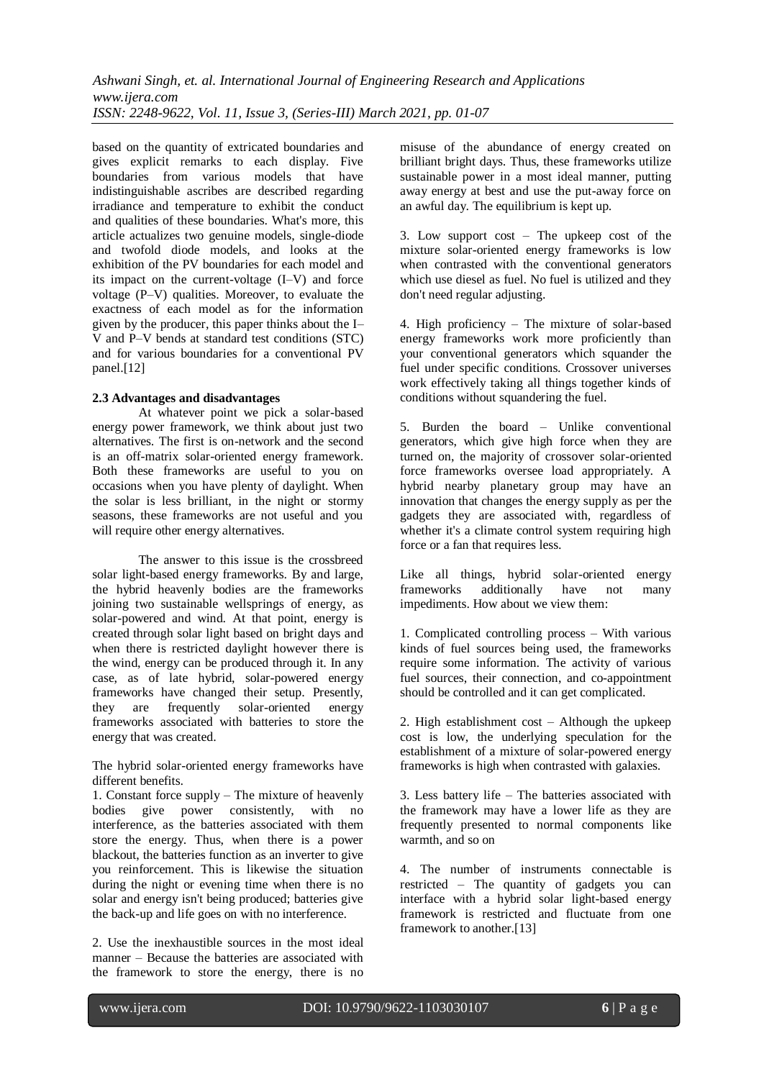based on the quantity of extricated boundaries and gives explicit remarks to each display. Five boundaries from various models that have indistinguishable ascribes are described regarding irradiance and temperature to exhibit the conduct and qualities of these boundaries. What's more, this article actualizes two genuine models, single-diode and twofold diode models, and looks at the exhibition of the PV boundaries for each model and its impact on the current-voltage (I–V) and force voltage (P–V) qualities. Moreover, to evaluate the exactness of each model as for the information given by the producer, this paper thinks about the I– V and P–V bends at standard test conditions (STC) and for various boundaries for a conventional PV panel.[12]

## **2.3 Advantages and disadvantages**

At whatever point we pick a solar-based energy power framework, we think about just two alternatives. The first is on-network and the second is an off-matrix solar-oriented energy framework. Both these frameworks are useful to you on occasions when you have plenty of daylight. When the solar is less brilliant, in the night or stormy seasons, these frameworks are not useful and you will require other energy alternatives.

The answer to this issue is the crossbreed solar light-based energy frameworks. By and large, the hybrid heavenly bodies are the frameworks joining two sustainable wellsprings of energy, as solar-powered and wind. At that point, energy is created through solar light based on bright days and when there is restricted daylight however there is the wind, energy can be produced through it. In any case, as of late hybrid, solar-powered energy frameworks have changed their setup. Presently, they are frequently solar-oriented energy frameworks associated with batteries to store the energy that was created.

The hybrid solar-oriented energy frameworks have different benefits.

1. Constant force supply – The mixture of heavenly bodies give power consistently, with no interference, as the batteries associated with them store the energy. Thus, when there is a power blackout, the batteries function as an inverter to give you reinforcement. This is likewise the situation during the night or evening time when there is no solar and energy isn't being produced; batteries give the back-up and life goes on with no interference.

2. Use the inexhaustible sources in the most ideal manner – Because the batteries are associated with the framework to store the energy, there is no misuse of the abundance of energy created on brilliant bright days. Thus, these frameworks utilize sustainable power in a most ideal manner, putting away energy at best and use the put-away force on an awful day. The equilibrium is kept up.

3. Low support cost – The upkeep cost of the mixture solar-oriented energy frameworks is low when contrasted with the conventional generators which use diesel as fuel. No fuel is utilized and they don't need regular adjusting.

4. High proficiency – The mixture of solar-based energy frameworks work more proficiently than your conventional generators which squander the fuel under specific conditions. Crossover universes work effectively taking all things together kinds of conditions without squandering the fuel.

5. Burden the board – Unlike conventional generators, which give high force when they are turned on, the majority of crossover solar-oriented force frameworks oversee load appropriately. A hybrid nearby planetary group may have an innovation that changes the energy supply as per the gadgets they are associated with, regardless of whether it's a climate control system requiring high force or a fan that requires less.

Like all things, hybrid solar-oriented energy frameworks additionally have not many impediments. How about we view them:

1. Complicated controlling process – With various kinds of fuel sources being used, the frameworks require some information. The activity of various fuel sources, their connection, and co-appointment should be controlled and it can get complicated.

2. High establishment cost – Although the upkeep cost is low, the underlying speculation for the establishment of a mixture of solar-powered energy frameworks is high when contrasted with galaxies.

3. Less battery life – The batteries associated with the framework may have a lower life as they are frequently presented to normal components like warmth, and so on

4. The number of instruments connectable is restricted – The quantity of gadgets you can interface with a hybrid solar light-based energy framework is restricted and fluctuate from one framework to another.[13]